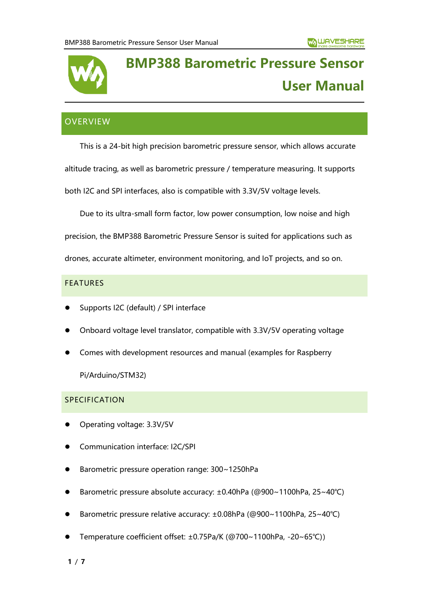

# **BMP388 Barometric Pressure Sensor User Manual**

# **OVERVIEW**

This is a 24-bit high precision barometric pressure sensor, which allows accurate altitude tracing, as well as barometric pressure / temperature measuring. It supports both I2C and SPI interfaces, also is compatible with 3.3V/5V voltage levels.

Due to its ultra-small form factor, low power consumption, low noise and high

precision, the BMP388 Barometric Pressure Sensor is suited for applications such as

drones, accurate altimeter, environment monitoring, and IoT projects, and so on.

# FEATURES

- ⚫ Supports I2C (default) / SPI interface
- ⚫ Onboard voltage level translator, compatible with 3.3V/5V operating voltage
- ⚫ Comes with development resources and manual (examples for Raspberry

Pi/Arduino/STM32)

# SPECIFICATION

- ⚫ Operating voltage: 3.3V/5V
- ⚫ Communication interface: I2C/SPI
- ⚫ Barometric pressure operation range: 300~1250hPa
- ⚫ Barometric pressure absolute accuracy: ±0.40hPa (@900~1100hPa, 25~40℃)
- ⚫ Barometric pressure relative accuracy: ±0.08hPa (@900~1100hPa, 25~40℃)
- ⚫ Temperature coefficient offset: ±0.75Pa/K (@700~1100hPa, -20~65℃))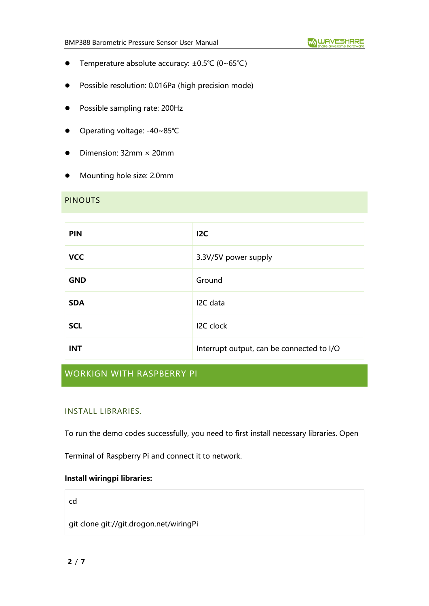- ⚫ Temperature absolute accuracy: ±0.5℃ (0~65℃)
- ⚫ Possible resolution: 0.016Pa (high precision mode)
- ⚫ Possible sampling rate: 200Hz
- ⚫ Operating voltage: -40~85℃
- ⚫ Dimension: 32mm × 20mm
- ⚫ Mounting hole size: 2.0mm

#### PINOUTS

| <b>PIN</b> | 12C                                       |
|------------|-------------------------------------------|
| <b>VCC</b> | 3.3V/5V power supply                      |
| <b>GND</b> | Ground                                    |
| <b>SDA</b> | I2C data                                  |
| <b>SCL</b> | I2C clock                                 |
| <b>INT</b> | Interrupt output, can be connected to I/O |

# WORKIGN WITH RASPBERRY PI

## INSTALL LIBRARIES.

To run the demo codes successfully, you need to first install necessary libraries. Open

Terminal of Raspberry Pi and connect it to network.

# **Install wiringpi libraries:**

cd

git clone git://git.drogon.net/wiringPi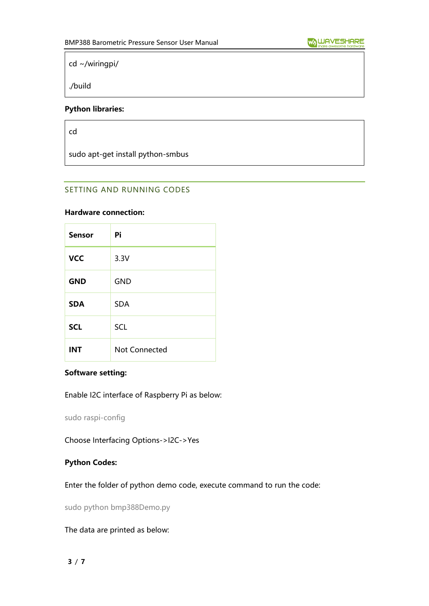cd ~/wiringpi/

./build

## **Python libraries:**

cd

sudo apt-get install python-smbus

# SETTING AND RUNNING CODES

#### **Hardware connection:**

| <b>Sensor</b> | Pi                   |
|---------------|----------------------|
| <b>VCC</b>    | 3.3V                 |
| <b>GND</b>    | <b>GND</b>           |
| <b>SDA</b>    | <b>SDA</b>           |
| <b>SCL</b>    | SCL                  |
| <b>INT</b>    | <b>Not Connected</b> |

## **Software setting:**

Enable I2C interface of Raspberry Pi as below:

sudo raspi-config

Choose Interfacing Options->I2C->Yes

# **Python Codes:**

Enter the folder of python demo code, execute command to run the code:

sudo python bmp388Demo.py

The data are printed as below: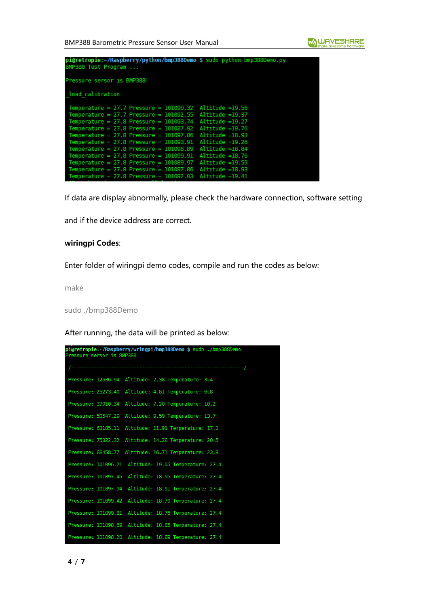BMP388 Barometric Pressure Sensor User Manual

| pi@retropie:~/Raspberry/python/bmp388Demo \$ sudo python bmp388Demo.py<br>BMP388 Test Program                                                                                                                                                                                                                                                                                                                                                                                                                                     |                                                                                                                                                                                                                                       |
|-----------------------------------------------------------------------------------------------------------------------------------------------------------------------------------------------------------------------------------------------------------------------------------------------------------------------------------------------------------------------------------------------------------------------------------------------------------------------------------------------------------------------------------|---------------------------------------------------------------------------------------------------------------------------------------------------------------------------------------------------------------------------------------|
| Pressure sersor is BMP388!                                                                                                                                                                                                                                                                                                                                                                                                                                                                                                        |                                                                                                                                                                                                                                       |
| load calibration                                                                                                                                                                                                                                                                                                                                                                                                                                                                                                                  |                                                                                                                                                                                                                                       |
| Temperature = $27.7$ Pressure = $101090.32$<br>Temperature = $27.7$ Pressure = $101092.55$<br>Temperature = $27.8$ Pressure = $101093.74$<br>Temperature = $27.8$ Pressure = $101087.92$<br>Temperature = $27.8$ Pressure = $101097.86$<br>Temperature = $27.8$ Pressure = $101093.91$<br>Temperature = $27.8$ Pressure = $101098.89$<br>Temperature = $27.8$ Pressure = $101099.91$<br>Temperature = $27.8$ Pressure = $101089.97$<br>Temperature = $27.8$ Pressure = $101097.86$<br>Temperature = $27.8$ Pressure = $101092.03$ | Altitude =19.56<br>$Altitude = 19.37$<br>$Altitude = 19.27$<br>$Altitude = 19.76$<br>$Altitude = 18.93$<br>$Altitude = 19.26$<br>$Altitude = 18.84$<br>Altitude =18.76<br>Altitude =19.59<br>$Altitude = 18.93$<br>$Altitude = 19.41$ |

If data are display abnormally, please check the hardware connection, software setting

and if the device address are correct.

## **wiringpi Codes**:

Enter folder of wiringpi demo codes, compile and run the codes as below:

make

sudo ./bmp388Demo

After running, the data will be printed as below:

| pi@retropie:~/Raspberry/wringpi/bmp388Demo \$ sudo ./bmp388Demo<br>Pressure sersor is BMP388 |
|----------------------------------------------------------------------------------------------|
|                                                                                              |
| Pressure: 12636.94 Altitude: 2.38 Temperature: 3.4                                           |
| Pressure: 25273.40<br>Altitude: 4.81 Temperature: 6.8                                        |
| Pressure: 37910.34<br>Altitude: 7.20 Temperature: 10.2                                       |
| Altitude: 9.59 Temperature: 13.7<br>Pressure: 50547.29                                       |
| Altitude: 11.91 Temperature: 17.1<br>Pressure: 63185.11                                      |
| Altitude: 14.28 Temperature: 20.5<br>Pressure: 75822.32                                      |
| Altitude: 16.71 Temperature: 23.9<br>Pressure: 88458.77                                      |
| Pressure: 101096.21<br>Altitude: 19.05 Temperature: 27.4                                     |
| Altitude: 18.95 Temperature: 27.4<br>Pressure: 101097.45                                     |
| Altitude: 18.91 Temperature: 27.4<br>Pressure: 101097.94                                     |
| Altitude: 18.79 Temperature: 27.4<br>Pressure: 101099.42                                     |
| Pressure: 101099.81<br>Altitude: 18.76 Temperature: 27.4                                     |
| Pressure: 101098.69 Altitude: 18.85 Temperature: 27.4                                        |
| Altitude: 18.89 Temperature: 27.4<br>Pressure: 101098.20                                     |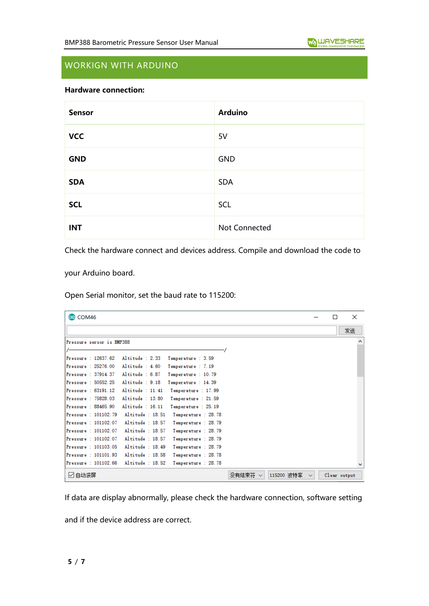# WORKIGN WITH ARDUINO

## **Hardware connection:**

| <b>Sensor</b> | <b>Arduino</b> |
|---------------|----------------|
| <b>VCC</b>    | 5V             |
| <b>GND</b>    | <b>GND</b>     |
| <b>SDA</b>    | <b>SDA</b>     |
| <b>SCL</b>    | SCL            |
| <b>INT</b>    | Not Connected  |

Check the hardware connect and devices address. Compile and download the code to

your Arduino board.

Open Serial monitor, set the baud rate to 115200:

| coM46                                       |                                          |                                            |                                      | $\times$     |
|---------------------------------------------|------------------------------------------|--------------------------------------------|--------------------------------------|--------------|
|                                             |                                          |                                            |                                      | 发送           |
| Pressure sersor is BMP388                   |                                          |                                            |                                      | ́            |
| Pressure: 12637.62                          | Altitude : $2.33$                        | Temperature : 3.59                         |                                      |              |
| Pressure: 25276.00<br>Pressure : 37914.37   | Altitude : $4.60$<br>Altitude $6.87$     | Temperature : 7.19<br>Temperature : 10.79  |                                      |              |
| Pressure : 50552.25                         | Altitude : $9.18$                        | Temperature : 14.39                        |                                      |              |
| Pressure : 63191.12                         | Altitude : $11.41$                       | Temperature : 17.99                        |                                      |              |
| Pressure: 75828.03<br>Pressure: 88465.90    | Altitude : 13.80<br>Altitude : $16.11$   | Temperature : 21.59<br>Temperature : 25.19 |                                      |              |
| Pressure : 101102.79<br>Pressure: 101102.07 | Altitude : $18.51$<br>Altitude: 18.57    | Temperature : 28.78<br>Temperature : 28.79 |                                      |              |
| Pressure: 101102.07                         | Altitude: 18.57                          | Temperature : 28.79                        |                                      |              |
| Pressure: 101102.07<br>Pressure: 101103.05  | Altitude : $18.57$<br>Altitude : $18.49$ | Temperature : 28.79<br>Temperature : 28.79 |                                      |              |
| $Pressure = 101101.93$                      | Altitude : $18.58$                       | Temperature : 28.78                        |                                      |              |
| Pressure: 101102.66                         | Altitude : $18.52$                       | Temperature : 28.78                        |                                      |              |
| ☑ 自动滚屏                                      |                                          |                                            | 115200 波特率<br>没有结束符!<br>$\checkmark$ | Clear output |

If data are display abnormally, please check the hardware connection, software setting

and if the device address are correct.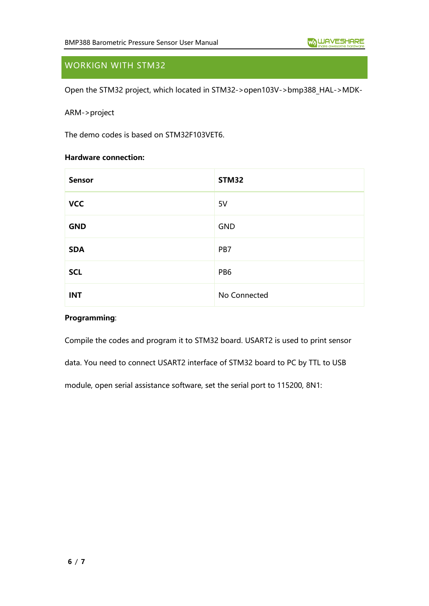# WORKIGN WITH STM32

Open the STM32 project, which located in STM32->open103V->bmp388\_HAL->MDK-

## ARM->project

The demo codes is based on STM32F103VET6.

#### **Hardware connection:**

| <b>Sensor</b> | <b>STM32</b>    |
|---------------|-----------------|
| <b>VCC</b>    | 5V              |
| <b>GND</b>    | <b>GND</b>      |
| <b>SDA</b>    | PB7             |
| <b>SCL</b>    | PB <sub>6</sub> |
| <b>INT</b>    | No Connected    |

#### **Programming**:

Compile the codes and program it to STM32 board. USART2 is used to print sensor

data. You need to connect USART2 interface of STM32 board to PC by TTL to USB

module, open serial assistance software, set the serial port to 115200, 8N1: